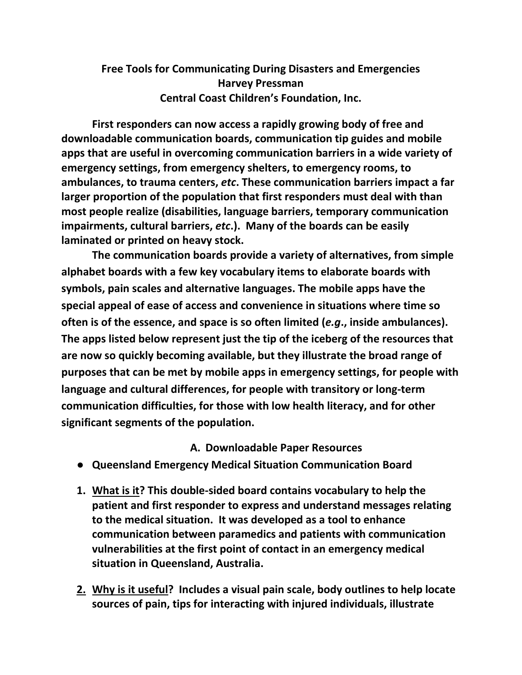## **Free Tools for Communicating During Disasters and Emergencies Harvey Pressman Central Coast Children's Foundation, Inc.**

**First responders can now access a rapidly growing body of free and downloadable communication boards, communication tip guides and mobile apps that are useful in overcoming communication barriers in a wide variety of emergency settings, from emergency shelters, to emergency rooms, to ambulances, to trauma centers,** *etc***. These communication barriers impact a far larger proportion of the population that first responders must deal with than most people realize (disabilities, language barriers, temporary communication impairments, cultural barriers,** *etc***.). Many of the boards can be easily laminated or printed on heavy stock.**

**The communication boards provide a variety of alternatives, from simple alphabet boards with a few key vocabulary items to elaborate boards with symbols, pain scales and alternative languages. The mobile apps have the special appeal of ease of access and convenience in situations where time so often is of the essence, and space is so often limited (***e.g***., inside ambulances). The apps listed below represent just the tip of the iceberg of the resources that are now so quickly becoming available, but they illustrate the broad range of purposes that can be met by mobile apps in emergency settings, for people with language and cultural differences, for people with transitory or long-term communication difficulties, for those with low health literacy, and for other significant segments of the population.**

## **A. Downloadable Paper Resources**

- **Queensland Emergency Medical Situation Communication Board**
- **1. What is it? This double-sided board contains vocabulary to help the patient and first responder to express and understand messages relating to the medical situation. It was developed as a tool to enhance communication between paramedics and patients with communication vulnerabilities at the first point of contact in an emergency medical situation in Queensland, Australia.**
- **2. Why is it useful? Includes a visual pain scale, body outlines to help locate sources of pain, tips for interacting with injured individuals, illustrate**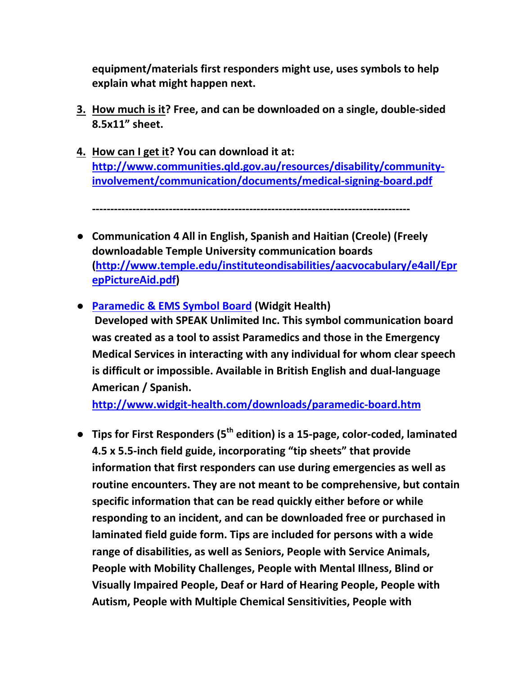**equipment/materials first responders might use, uses symbols to help explain what might happen next.**

- **3. How much is it? Free, and can be downloaded on a single, double-sided 8.5x11" sheet.**
- **4. How can I get it? You can download it at: [http://www.communities.qld.gov.au/resources/disability/community](http://www.communities.qld.gov.au/resources/disability/community-involvement/communication/documents/medical-signing-board.pdf)[involvement/communication/documents/medical-signing-board.pdf](http://www.communities.qld.gov.au/resources/disability/community-involvement/communication/documents/medical-signing-board.pdf)**

**---------------------------------------------------------------------------------------**

- **Communication 4 All in English, Spanish and Haitian (Creole) (Freely downloadable Temple University communication boards [\(http://www.temple.edu/instituteondisabilities/aacvocabulary/e4all/Epr](http://www.temple.edu/instituteondisabilities/aacvocabulary/e4all/EprepPictureAid.pdf) [epPictureAid.pdf\)](http://www.temple.edu/instituteondisabilities/aacvocabulary/e4all/EprepPictureAid.pdf)**
- **[Paramedic & EMS Symbol Board](http://www.widgit-health.com/downloads/paramedic-board.htm) (Widgit Health) Developed with SPEAK Unlimited Inc. This symbol communication board was created as a tool to assist Paramedics and those in the Emergency Medical Services in interacting with any individual for whom clear speech is difficult or impossible. Available in British English and dual-language American / Spanish.**

**<http://www.widgit-health.com/downloads/paramedic-board.htm>**

● **Tips for First Responders (5th edition) is a 15-page, color-coded, laminated 4.5 x 5.5-inch field guide, incorporating "tip sheets" that provide information that first responders can use during emergencies as well as routine encounters. They are not meant to be comprehensive, but contain specific information that can be read quickly either before or while responding to an incident, and can be downloaded free or purchased in laminated field guide form. Tips are included for persons with a wide range of disabilities, as well as Seniors, People with Service Animals, People with Mobility Challenges, People with Mental Illness, Blind or Visually Impaired People, Deaf or Hard of Hearing People, People with Autism, People with Multiple Chemical Sensitivities, People with**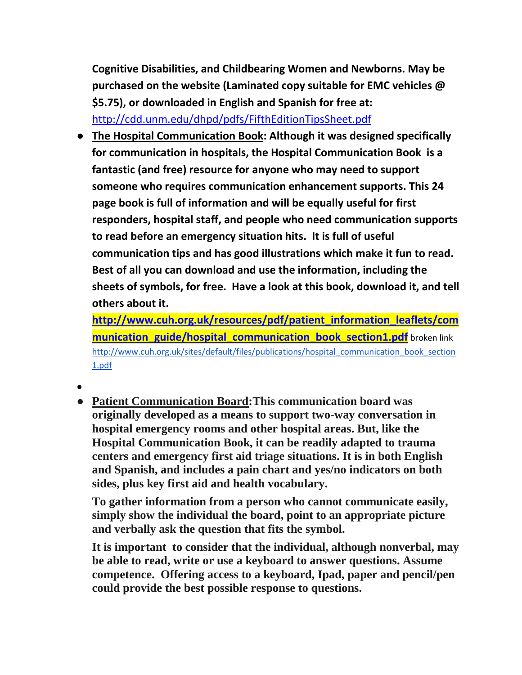**Cognitive Disabilities, and Childbearing Women and Newborns. May be purchased on the website (Laminated copy suitable for EMC vehicles @ \$5.75), or downloaded in English and Spanish for free at:**  <http://cdd.unm.edu/dhpd/pdfs/FifthEditionTipsSheet.pdf>

● **The Hospital Communication Book: Although it was designed specifically for communication in hospitals, the Hospital Communication Book is a fantastic (and free) resource for anyone who may need to support someone who requires communication enhancement supports. This 24 page book is full of information and will be equally useful for first responders, hospital staff, and people who need communication supports to read before an emergency situation hits. It is full of useful communication tips and has good illustrations which make it fun to read. Best of all you can download and use the information, including the sheets of symbols, for free. Have a look at this book, download it, and tell others about it.** 

**[http://www.cuh.org.uk/resources/pdf/patient\\_information\\_leaflets/com](http://www.cuh.org.uk/resources/pdf/patient_information_leaflets/communication_guide/hospital_communication_book_section1.pdf) [munication\\_guide/hospital\\_communication\\_book\\_section1.pdf](http://www.cuh.org.uk/resources/pdf/patient_information_leaflets/communication_guide/hospital_communication_book_section1.pdf)** broken link [http://www.cuh.org.uk/sites/default/files/publications/hospital\\_communication\\_book\\_section](http://www.cuh.org.uk/sites/default/files/publications/hospital_communication_book_section1.pdf) [1.pdf](http://www.cuh.org.uk/sites/default/files/publications/hospital_communication_book_section1.pdf)

- ●
- **Patient Communication Board:This communication board was originally developed as a means to support two-way conversation in hospital emergency rooms and other hospital areas. But, like the Hospital Communication Book, it can be readily adapted to trauma centers and emergency first aid triage situations. It is in both English and Spanish, and includes a pain chart and yes/no indicators on both sides, plus key first aid and health vocabulary.**

**To gather information from a person who cannot communicate easily, simply show the individual the board, point to an appropriate picture and verbally ask the question that fits the symbol.**

**It is important to consider that the individual, although nonverbal, may be able to read, write or use a keyboard to answer questions. Assume competence. Offering access to a keyboard, Ipad, paper and pencil/pen could provide the best possible response to questions.**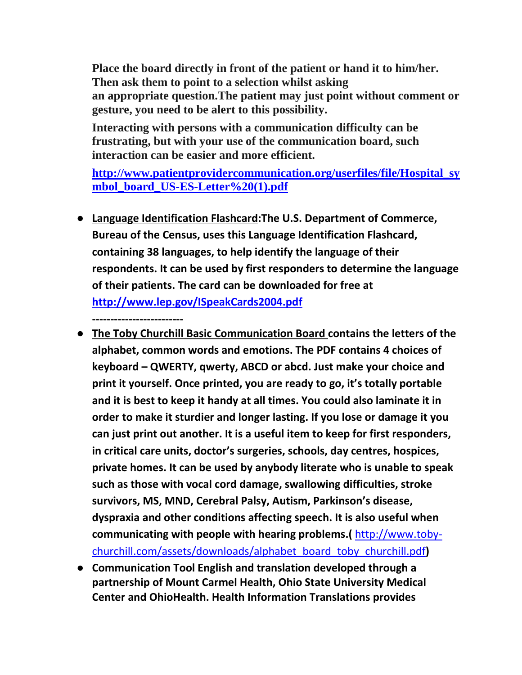**Place the board directly in front of the patient or hand it to him/her. Then ask them to point to a selection whilst asking an appropriate question.The patient may just point without comment or gesture, you need to be alert to this possibility.**

**Interacting with persons with a communication difficulty can be frustrating, but with your use of the communication board, such interaction can be easier and more efficient.**

**[http://www.patientprovidercommunication.org/userfiles/file/Hospital\\_sy](http://www.patientprovidercommunication.org/userfiles/file/Hospital_symbol_board_US-ES-Letter%20(1).pdf) [mbol\\_board\\_US-ES-Letter%20\(1\).pdf](http://www.patientprovidercommunication.org/userfiles/file/Hospital_symbol_board_US-ES-Letter%20(1).pdf)**

● **Language Identification Flashcard:The U.S. Department of Commerce, Bureau of the Census, uses this Language Identification Flashcard, containing 38 languages, to help identify the language of their respondents. It can be used by first responders to determine the language of their patients. The card can be downloaded for free at <http://www.lep.gov/ISpeakCards2004.pdf>**

**-------------------------**

- **The Toby Churchill Basic Communication Board contains the letters of the alphabet, common words and emotions. The PDF contains 4 choices of keyboard – QWERTY, qwerty, ABCD or abcd. Just make your choice and print it yourself. Once printed, you are ready to go, it's totally portable and it is best to keep it handy at all times. You could also laminate it in order to make it sturdier and longer lasting. If you lose or damage it you can just print out another. It is a useful item to keep for first responders, in critical care units, doctor's surgeries, schools, day centres, hospices, private homes. It can be used by anybody literate who is unable to speak such as those with vocal cord damage, swallowing difficulties, stroke survivors, MS, MND, Cerebral Palsy, Autism, Parkinson's disease, dyspraxia and other conditions affecting speech. It is also useful when communicating with people with hearing problems.(** [http://www.toby](http://www.toby-churchill.com/assets/downloads/alphabet_board_toby_churchill.pdf)[churchill.com/assets/downloads/alphabet\\_board\\_toby\\_churchill.pdf](http://www.toby-churchill.com/assets/downloads/alphabet_board_toby_churchill.pdf)**)**
- **Communication Tool English and translation developed through a partnership of Mount Carmel Health, Ohio State University Medical Center and OhioHealth. Health Information Translations provides**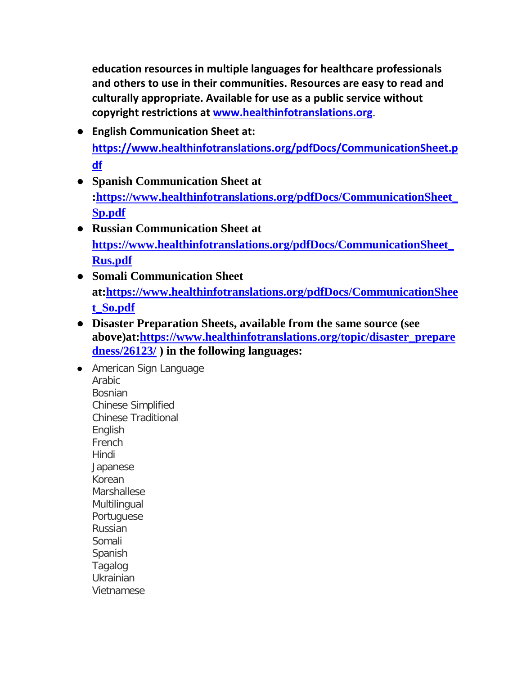**education resources in multiple languages for healthcare professionals and others to use in their communities. Resources are easy to read and culturally appropriate. Available for use as a public service without copyright restrictions at [www.healthinfotranslations.org](http://www.healthinfotranslations.org/)**.

- **English Communication Sheet at: [https://www.healthinfotranslations.org/pdfDocs/CommunicationSheet.p](https://www.healthinfotranslations.org/pdfDocs/CommunicationSheet.pdf) [df](https://www.healthinfotranslations.org/pdfDocs/CommunicationSheet.pdf)**
- **Spanish Communication Sheet at [:https://www.healthinfotranslations.org/pdfDocs/CommunicationSheet\\_](https://www.healthinfotranslations.org/pdfDocs/CommunicationSheet_Sp.pdf) [Sp.pdf](https://www.healthinfotranslations.org/pdfDocs/CommunicationSheet_Sp.pdf)**
- **Russian Communication Sheet at [https://www.healthinfotranslations.org/pdfDocs/CommunicationSheet\\_](https://www.healthinfotranslations.org/pdfDocs/CommunicationSheet_Rus.pdf) [Rus.pdf](https://www.healthinfotranslations.org/pdfDocs/CommunicationSheet_Rus.pdf)**
- **Somali Communication Sheet at[:https://www.healthinfotranslations.org/pdfDocs/CommunicationShee](https://www.healthinfotranslations.org/pdfDocs/CommunicationSheet_So.pdf) [t\\_So.pdf](https://www.healthinfotranslations.org/pdfDocs/CommunicationSheet_So.pdf)**
- **Disaster Preparation Sheets, available from the same source (see above)at[:https://www.healthinfotranslations.org/topic/disaster\\_prepare](https://www.healthinfotranslations.org/topic/disaster_preparedness/26123/) [dness/26123/](https://www.healthinfotranslations.org/topic/disaster_preparedness/26123/) ) in the following languages:**

● [American Sign Language](https://www.healthinfotranslations.org/language/american_sign_language/864869/topic/disaster_preparedness/26123/) [Arabic](https://www.healthinfotranslations.org/language/arabic/392138/topic/disaster_preparedness/26123/) [Bosnian](https://www.healthinfotranslations.org/language/bosnian/818139/topic/disaster_preparedness/26123/) [Chinese Simplified](https://www.healthinfotranslations.org/language/chinese_simplified/540811/topic/disaster_preparedness/26123/) [Chinese Traditional](https://www.healthinfotranslations.org/language/chinese_traditional/248314/topic/disaster_preparedness/26123/) [English](https://www.healthinfotranslations.org/language/english/904907/topic/disaster_preparedness/26123/) [French](https://www.healthinfotranslations.org/language/french/946378/topic/disaster_preparedness/26123/) [Hindi](https://www.healthinfotranslations.org/language/hindi/95723/topic/disaster_preparedness/26123/) [Japanese](https://www.healthinfotranslations.org/language/japanese/714208/topic/disaster_preparedness/26123/) [Korean](https://www.healthinfotranslations.org/language/korean/794333/topic/disaster_preparedness/26123/) **[Marshallese](https://www.healthinfotranslations.org/language/marshallese/69952/topic/disaster_preparedness/26123/) [Multilingual](https://www.healthinfotranslations.org/language/multilingual/39253/topic/disaster_preparedness/26123/)** [Portuguese](https://www.healthinfotranslations.org/language/portuguese/313986/topic/disaster_preparedness/26123/) [Russian](https://www.healthinfotranslations.org/language/russian/275021/topic/disaster_preparedness/26123/) [Somali](https://www.healthinfotranslations.org/language/somali/719705/topic/disaster_preparedness/26123/) [Spanish](https://www.healthinfotranslations.org/language/spanish/524152/topic/disaster_preparedness/26123/) [Tagalog](https://www.healthinfotranslations.org/language/tagalog/185115/topic/disaster_preparedness/26123/) [Ukrainian](https://www.healthinfotranslations.org/language/ukrainian/22971/topic/disaster_preparedness/26123/) [Vietnamese](https://www.healthinfotranslations.org/language/vietnamese/857630/topic/disaster_preparedness/26123/)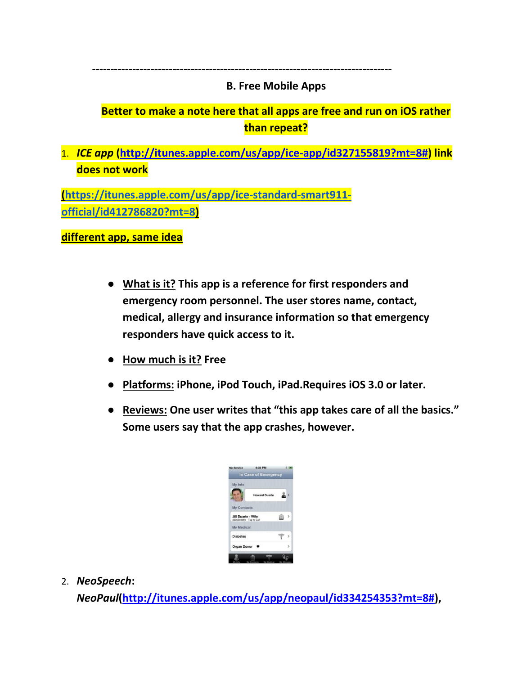## **B. Free Mobile Apps**

## **Better to make a note here that all apps are free and run on iOS rather than repeat?**

1. *ICE app* **[\(http://itunes.apple.com/us/app/ice-app/id327155819?mt=8#\)](http://itunes.apple.com/us/app/ice-app/id327155819?mt=8) link does not work**

**----------------------------------------------------------------------------------**

**[\(https://itunes.apple.com/us/app/ice-standard-smart911](https://itunes.apple.com/us/app/ice-standard-smart911-official/id412786820?mt=8) [official/id412786820?mt=8\)](https://itunes.apple.com/us/app/ice-standard-smart911-official/id412786820?mt=8)**

**different app, same idea**

- **What is it? This app is a reference for first responders and emergency room personnel. The user stores name, contact, medical, allergy and insurance information so that emergency responders have quick access to it.**
- **How much is it? Free**
- **Platforms: iPhone, iPod Touch, iPad.Requires iOS 3.0 or later.**
- **Reviews: One user writes that "this app takes care of all the basics." Some users say that the app crashes, however.**

| My Info                                        |                      |   |  |
|------------------------------------------------|----------------------|---|--|
|                                                | <b>Howard Duarte</b> |   |  |
| <b>My Contacts</b>                             |                      |   |  |
| Jill Duarte - Wife<br>3235559080 - Tap to Call |                      | 目 |  |
| My Medical                                     |                      |   |  |
| <b>Diabetes</b>                                |                      |   |  |
| Organ Donor $\bullet$                          |                      |   |  |

2. *NeoSpeech***:** 

*NeoPaul***[\(http://itunes.apple.com/us/app/neopaul/id334254353?mt=8#\)](http://itunes.apple.com/us/app/neopaul/id334254353?mt=8),**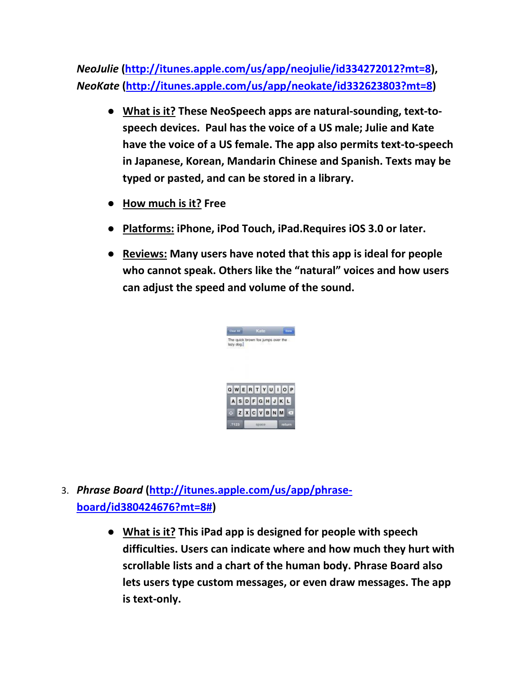*NeoJulie* **[\(http://itunes.apple.com/us/app/neojulie/id334272012?mt=8\)](http://itunes.apple.com/us/app/neojulie/id334272012?mt=8),**  *NeoKate* **[\(http://itunes.apple.com/us/app/neokate/id332623803?mt=8\)](http://itunes.apple.com/us/app/neokate/id332623803?mt=8)**

- **What is it? These NeoSpeech apps are natural-sounding, text-tospeech devices. Paul has the voice of a US male; Julie and Kate have the voice of a US female. The app also permits text-to-speech in Japanese, Korean, Mandarin Chinese and Spanish. Texts may be typed or pasted, and can be stored in a library.**
- **How much is it? Free**
- **Platforms: iPhone, iPod Touch, iPad.Requires iOS 3.0 or later.**
- **Reviews: Many users have noted that this app is ideal for people who cannot speak. Others like the "natural" voices and how users can adjust the speed and volume of the sound.**



- 3. *Phrase Board* **[\(http://itunes.apple.com/us/app/phrase](http://itunes.apple.com/us/app/phrase-board/id380424676?mt=8)[board/id380424676?mt=8#\)](http://itunes.apple.com/us/app/phrase-board/id380424676?mt=8)**
	- **What is it? This iPad app is designed for people with speech difficulties. Users can indicate where and how much they hurt with scrollable lists and a chart of the human body. Phrase Board also lets users type custom messages, or even draw messages. The app is text-only.**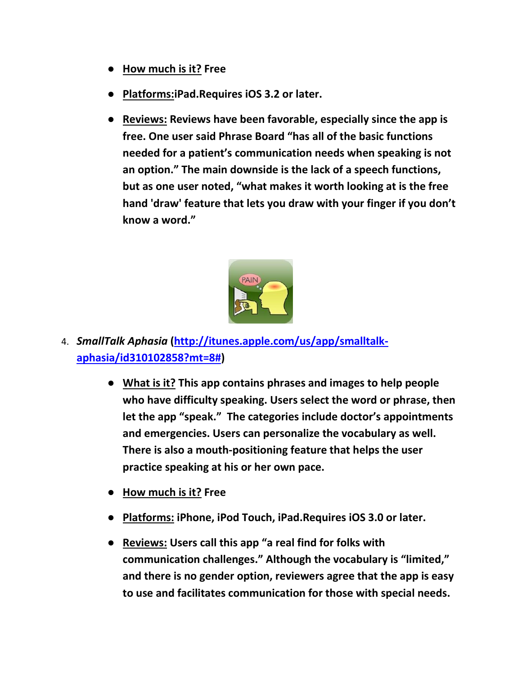- **How much is it? Free**
- **Platforms:iPad.Requires iOS 3.2 or later.**
- **Reviews: Reviews have been favorable, especially since the app is free. One user said Phrase Board "has all of the basic functions needed for a patient's communication needs when speaking is not an option." The main downside is the lack of a speech functions, but as one user noted, "what makes it worth looking at is the free hand 'draw' feature that lets you draw with your finger if you don't know a word."**



- 4. *SmallTalk Aphasia* **[\(http://itunes.apple.com/us/app/smalltalk](http://itunes.apple.com/us/app/smalltalk-aphasia/id310102858?mt=8)[aphasia/id310102858?mt=8#\)](http://itunes.apple.com/us/app/smalltalk-aphasia/id310102858?mt=8)**
	- **What is it? This app contains phrases and images to help people who have difficulty speaking. Users select the word or phrase, then let the app "speak." The categories include doctor's appointments and emergencies. Users can personalize the vocabulary as well. There is also a mouth-positioning feature that helps the user practice speaking at his or her own pace.**
	- **How much is it? Free**
	- **Platforms: iPhone, iPod Touch, iPad.Requires iOS 3.0 or later.**
	- **Reviews: Users call this app "a real find for folks with communication challenges." Although the vocabulary is "limited," and there is no gender option, reviewers agree that the app is easy to use and facilitates communication for those with special needs.**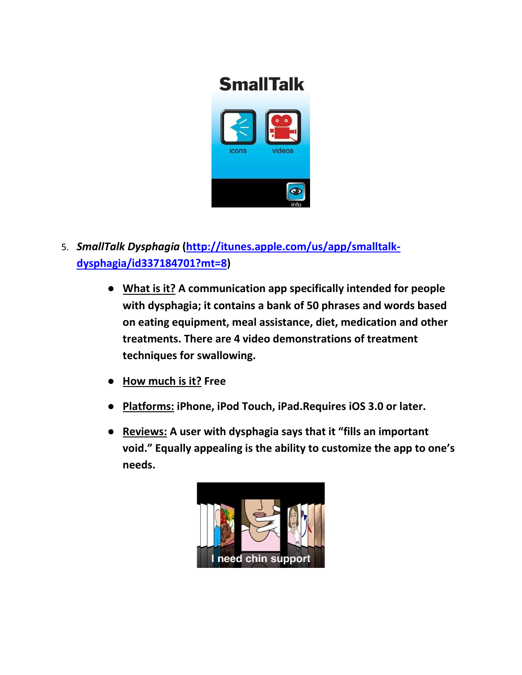

- 5. *SmallTalk Dysphagia* **[\(http://itunes.apple.com/us/app/smalltalk](http://itunes.apple.com/us/app/smalltalk-dysphagia/id337184701?mt=8)[dysphagia/id337184701?mt=8\)](http://itunes.apple.com/us/app/smalltalk-dysphagia/id337184701?mt=8)**
	- **What is it? A communication app specifically intended for people with dysphagia; it contains a bank of 50 phrases and words based on eating equipment, meal assistance, diet, medication and other treatments. There are 4 video demonstrations of treatment techniques for swallowing.**
	- **How much is it? Free**
	- **Platforms: iPhone, iPod Touch, iPad.Requires iOS 3.0 or later.**
	- **Reviews: A user with dysphagia says that it "fills an important void." Equally appealing is the ability to customize the app to one's needs.**

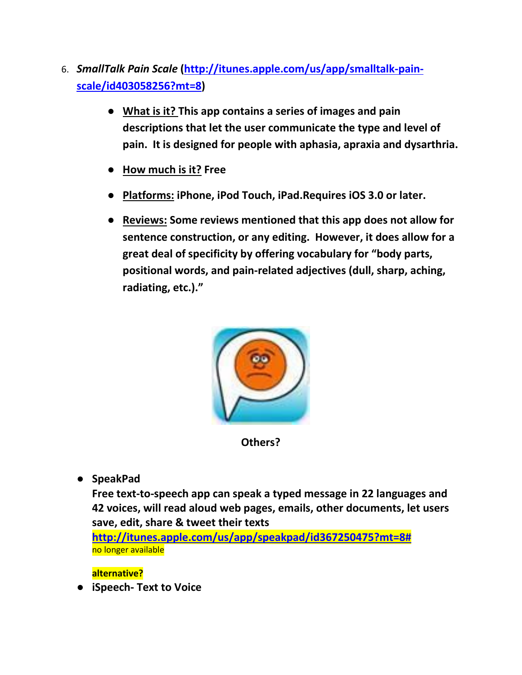- 6. *SmallTalk Pain Scale* **[\(http://itunes.apple.com/us/app/smalltalk-pain](http://itunes.apple.com/us/app/smalltalk-pain-scale/id403058256?mt=8)[scale/id403058256?mt=8\)](http://itunes.apple.com/us/app/smalltalk-pain-scale/id403058256?mt=8)**
	- **What is it? This app contains a series of images and pain descriptions that let the user communicate the type and level of pain. It is designed for people with aphasia, apraxia and dysarthria.**
	- **How much is it? Free**
	- **Platforms: iPhone, iPod Touch, iPad.Requires iOS 3.0 or later.**
	- **Reviews: Some reviews mentioned that this app does not allow for sentence construction, or any editing. However, it does allow for a great deal of specificity by offering vocabulary for "body parts, positional words, and pain-related adjectives (dull, sharp, aching, radiating, etc.)."**



**Others?**

● **SpeakPad**

**Free text-to-speech app can speak a typed message in 22 languages and 42 voices, will read aloud web pages, emails, other documents, let users save, edit, share & tweet their texts**

**[http://itunes.apple.com/us/app/speakpad/id367250475?mt=8#](http://itunes.apple.com/us/app/speakpad/id367250475?mt=8)** no longer available

**alternative?**

● **iSpeech- Text to Voice**